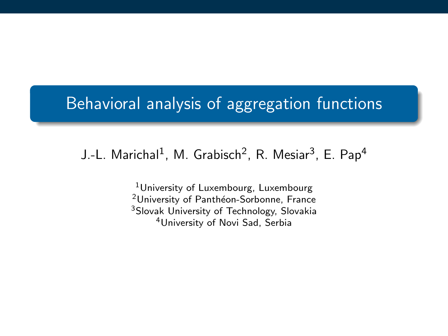# Behavioral analysis of aggregation functions

### J.-L. Marichal $^1$ , M. Grabisch $^2$ , R. Mesiar $^3$ , E. Pap $^4$

<sup>1</sup>University of Luxembourg, Luxembourg <sup>2</sup>University of Panthéon-Sorbonne, France <sup>3</sup>Slovak University of Technology, Slovakia <sup>4</sup>University of Novi Sad, Serbia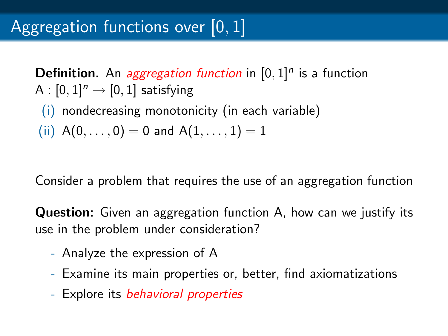**Definition.** An *aggregation function* in  $[0,1]^n$  is a function A :  $[0, 1]$ <sup>n</sup>  $\rightarrow$   $[0, 1]$  satisfying

(i) nondecreasing monotonicity (in each variable)

(ii)  $A(0, \ldots, 0) = 0$  and  $A(1, \ldots, 1) = 1$ 

Consider a problem that requires the use of an aggregation function

**Question:** Given an aggregation function A, how can we justify its use in the problem under consideration?

- Analyze the expression of A
- Examine its main properties or, better, find axiomatizations
- Explore its *behavioral properties*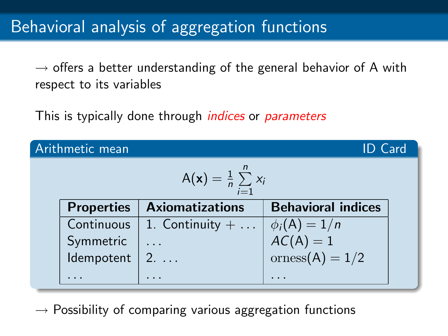$\rightarrow$  offers a better understanding of the general behavior of A with respect to its variables

This is typically done through *indices* or *parameters* 

| Arithmetic mean<br><b>ID</b> Card       |                   |                          |                                |  |
|-----------------------------------------|-------------------|--------------------------|--------------------------------|--|
| $A(x) = \frac{1}{n} \sum_{i=1}^{n} x_i$ |                   |                          |                                |  |
|                                         | <b>Properties</b> | <b>Axiomatizations</b>   | <b>Behavioral indices</b>      |  |
|                                         | Continuous        | 1. Continuity $+ \ldots$ | $\phi_i(A) = 1/n$              |  |
|                                         | Symmetric         |                          | $AC(A) = 1$<br>orness(A) = 1/2 |  |
|                                         | Idempotent        | $2. \ldots$              |                                |  |
|                                         |                   |                          |                                |  |

 $\rightarrow$  Possibility of comparing various aggregation functions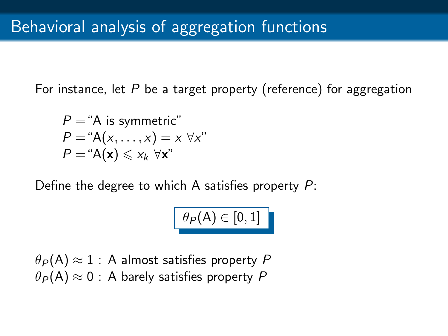For instance, let  $P$  be a target property (reference) for aggregation

 $P = "A$  is symmetric"  $P = "A(x, \ldots, x) = x \ \forall x"$  $P = "A(x) \leq x_k \ \forall x"$ 

Define the degree to which A satisfies property  $P$ :

 $\theta_P(\mathsf{A}) \in [0,1]$  |

 $\theta_P(A) \approx 1$  : A almost satisfies property P  $\theta_P(A) \approx 0$  : A barely satisfies property P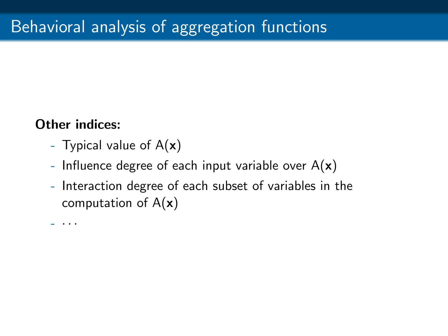#### Other indices:

- Typical value of  $A(x)$
- Influence degree of each input variable over  $A(x)$
- Interaction degree of each subset of variables in the computation of  $A(x)$

- · · ·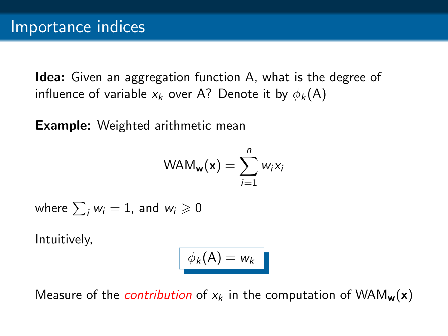Idea: Given an aggregation function A, what is the degree of influence of variable  $x_k$  over A? Denote it by  $\phi_k(A)$ 

Example: Weighted arithmetic mean

$$
\mathsf{WAM}_{\mathbf{w}}(\mathbf{x}) = \sum_{i=1}^n w_i x_i
$$

where  $\sum_i w_i = 1$ , and  $w_i \geqslant 0$ 

Intuitively,

$$
\phi_k(A)=w_k
$$

Measure of the *contribution* of  $x_k$  in the computation of WAM<sub>w</sub>(x)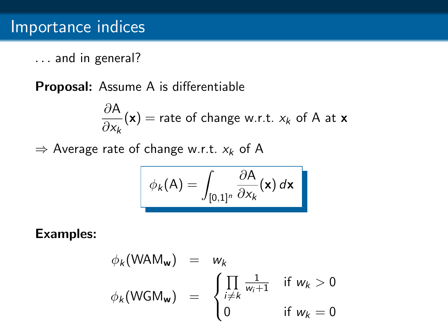... and in general?

Proposal: Assume A is differentiable

$$
\frac{\partial A}{\partial x_k}(\mathbf{x}) = \text{rate of change w.r.t. } x_k \text{ of A at } \mathbf{x}
$$

 $\Rightarrow$  Average rate of change w.r.t.  $x_k$  of A

$$
\phi_k(\mathsf{A}) = \int_{[0,1]^n} \frac{\partial \mathsf{A}}{\partial x_k}(\mathsf{x}) \, d\mathsf{x}
$$

$$
\phi_k(\text{WAM}_{\mathbf{w}}) = w_k
$$
\n
$$
\phi_k(\text{WGM}_{\mathbf{w}}) = \begin{cases}\n\prod_{i \neq k} \frac{1}{w_i + 1} & \text{if } w_k > 0 \\
0 & \text{if } w_k = 0\n\end{cases}
$$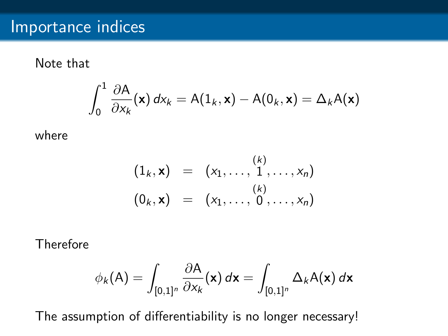Note that

$$
\int_0^1 \frac{\partial A}{\partial x_k}(\mathbf{x}) dx_k = A(1_k, \mathbf{x}) - A(0_k, \mathbf{x}) = \Delta_k A(\mathbf{x})
$$

where

$$
(1_k, \mathbf{x}) = (x_1, ..., \stackrel{(k)}{1}, ..., x_n)
$$
  
\n $(0_k, \mathbf{x}) = (x_1, ..., 0, ..., x_n)$ 

Therefore

$$
\phi_k(\mathsf{A}) = \int_{[0,1]^n} \frac{\partial \mathsf{A}}{\partial x_k}(\mathsf{x}) \, d\mathsf{x} = \int_{[0,1]^n} \Delta_k \mathsf{A}(\mathsf{x}) \, d\mathsf{x}
$$

The assumption of differentiability is no longer necessary!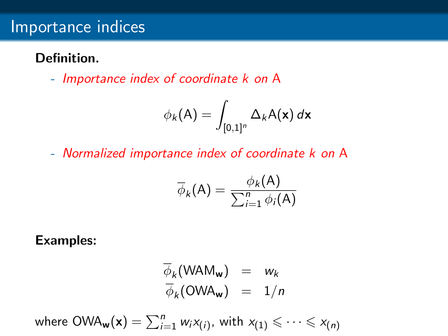## Importance indices

### Definition.

- Importance index of coordinate k on A

$$
\phi_k(\mathsf{A}) = \int_{[0,1]^n} \Delta_k \mathsf{A}(\mathsf{x}) \, d\mathsf{x}
$$

- Normalized importance index of coordinate k on A

$$
\overline{\phi}_k(\mathsf{A}) = \frac{\phi_k(\mathsf{A})}{\sum_{i=1}^n \phi_i(\mathsf{A})}
$$

$$
\overline{\phi}_k(\text{WAM}_w) = w_k
$$
  

$$
\overline{\phi}_k(\text{OWA}_w) = 1/n
$$

where 
$$
OWA_w(x) = \sum_{i=1}^n w_i x_{(i)}
$$
, with  $x_{(1)} \leq \cdots \leq x_{(n)}$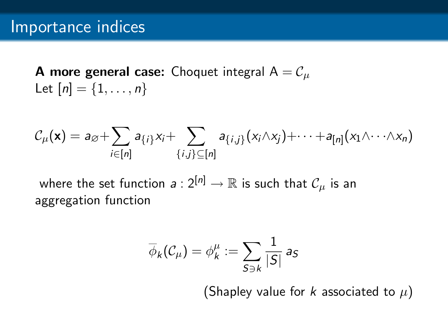**A more general case:** Choquet integral  $A = C_u$ Let  $[n] = \{1, ..., n\}$ 

$$
\mathcal{C}_{\mu}(\mathbf{x}) = a_{\varnothing} + \sum_{i \in [n]} a_{\{i\}} x_i + \sum_{\{i,j\} \subseteq [n]} a_{\{i,j\}} (x_i \wedge x_j) + \cdots + a_{[n]} (x_1 \wedge \cdots \wedge x_n)
$$

where the set function  $a: 2^{[n]} \to \mathbb{R}$  is such that  $\mathcal{C}_\mu$  is an aggregation function

$$
\overline{\phi}_k(\mathcal{C}_\mu) = \phi_k^\mu := \sum_{S \ni k} \frac{1}{|S|} \, \mathsf{a}_S
$$

(Shapley value for k associated to  $\mu$ )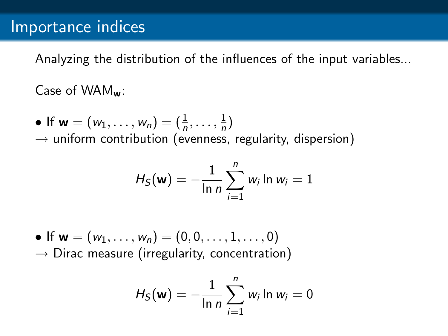Analyzing the distribution of the influences of the input variables...

Case of WAMw:

• If  $w = (w_1, ..., w_n) = (\frac{1}{n}, ..., \frac{1}{n})$  $\frac{1}{n}$  $\rightarrow$  uniform contribution (evenness, regularity, dispersion)

$$
H_S(\mathbf{w}) = -\frac{1}{\ln n} \sum_{i=1}^n w_i \ln w_i = 1
$$

• If  $w = (w_1, \ldots, w_n) = (0, 0, \ldots, 1, \ldots, 0)$  $\rightarrow$  Dirac measure (irregularity, concentration)

$$
H_S(\mathbf{w}) = -\frac{1}{\ln n} \sum_{i=1}^n w_i \ln w_i = 0
$$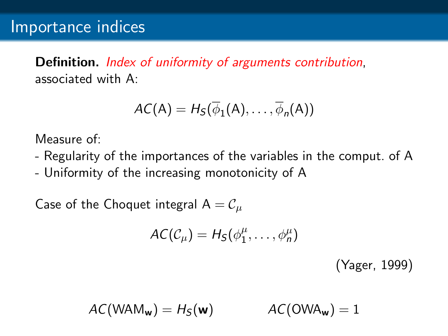Definition. *Index of uniformity of arguments contribution*, associated with A:

$$
AC(A) = H_S(\overline{\phi}_1(A), \ldots, \overline{\phi}_n(A))
$$

Measure of:

- Regularity of the importances of the variables in the comput. of A
- Uniformity of the increasing monotonicity of A

Case of the Choquet integral  $A = C_\mu$ 

$$
AC(\mathcal{C}_{\mu})=H_S(\phi_1^{\mu},\ldots,\phi_n^{\mu})
$$

(Yager, 1999)

$$
AC(WAM_w) = H_S(w) \qquad AC(OWA_w) = 1
$$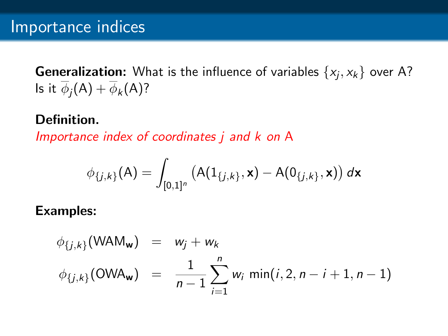**Generalization:** What is the influence of variables  $\{x_j, x_k\}$  over A? Is it  $\phi_j(A) + \phi_k(A)$ ?

### Definition.

Importance index of coordinates j and k on A

$$
\phi_{\{j,k\}}(\mathsf{A}) = \int_{[0,1]^n} \left( \mathsf{A}(1_{\{j,k\}}, \mathsf{x}) - \mathsf{A}(0_{\{j,k\}}, \mathsf{x}) \right) d\mathsf{x}
$$

$$
\begin{array}{rcl}\n\phi_{\{j,k\}}(\textsf{WAM}_w) & = & w_j + w_k \\
\phi_{\{j,k\}}(\textsf{OWA}_w) & = & \frac{1}{n-1} \sum_{i=1}^n w_i \, \min(i, 2, n-i+1, n-1)\n\end{array}
$$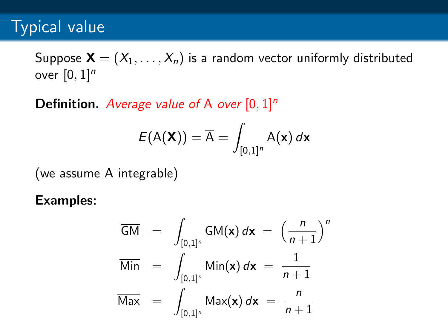## Typical value

Suppose  $\mathbf{X} = (X_1, \ldots, X_n)$  is a random vector uniformly distributed over  $[0, 1]^n$ 

**Definition.** Average value of A over  $[0, 1]^n$ 

$$
E(A(\mathbf{X})) = \overline{A} = \int_{[0,1]^n} A(\mathbf{x}) d\mathbf{x}
$$

(we assume A integrable)

$$
\overline{GM} = \int_{[0,1]^n} GM(\mathbf{x}) d\mathbf{x} = \left(\frac{n}{n+1}\right)^n
$$
  
\n
$$
\overline{Min} = \int_{[0,1]^n} Min(\mathbf{x}) d\mathbf{x} = \frac{1}{n+1}
$$
  
\n
$$
\overline{Max} = \int_{[0,1]^n} Max(\mathbf{x}) d\mathbf{x} = \frac{n}{n+1}
$$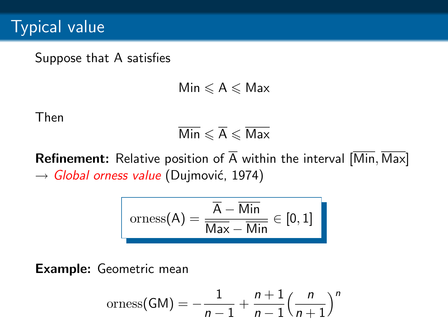Suppose that A satisfies

 $Min \leq A \leq Max$ 

Then

$$
\overline{\mathsf{Min}}\leqslant \overline{\mathsf{A}}\leqslant \overline{\mathsf{Max}}
$$

**Refinement:** Relative position of  $\overline{A}$  within the interval  $[\overline{Min}, \overline{Max}]$  $\rightarrow$  Global orness value (Dujmović, 1974)

$$
orness(A) = \frac{\overline{A} - \overline{Min}}{\overline{Max} - \overline{Min}} \in [0,1]
$$

Example: Geometric mean

$$
orness(GM) = -\frac{1}{n-1} + \frac{n+1}{n-1} \left(\frac{n}{n+1}\right)^n
$$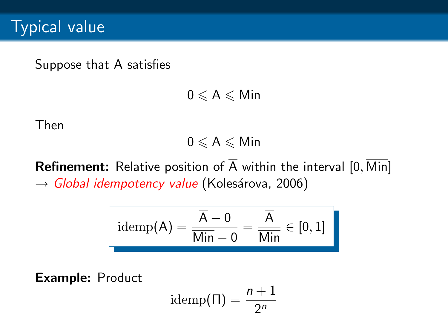Suppose that A satisfies

 $0 \leqslant A \leqslant M$ in

Then

$$
0\leqslant \overline{A}\leqslant \overline{\mathsf{Min}}
$$

**Refinement:** Relative position of  $\overline{A}$  within the interval  $[0, \overline{Min}]$  $\rightarrow$  Global idempotency value (Kolesárova, 2006)

$$
\mathrm{idemp}(A) = \frac{\overline{A} - 0}{\overline{\text{Min}} - 0} = \frac{\overline{A}}{\overline{\text{Min}}} \in [0, 1]
$$

Example: Product

idemp
$$
(\Pi)
$$
 =  $\frac{n+1}{2^n}$